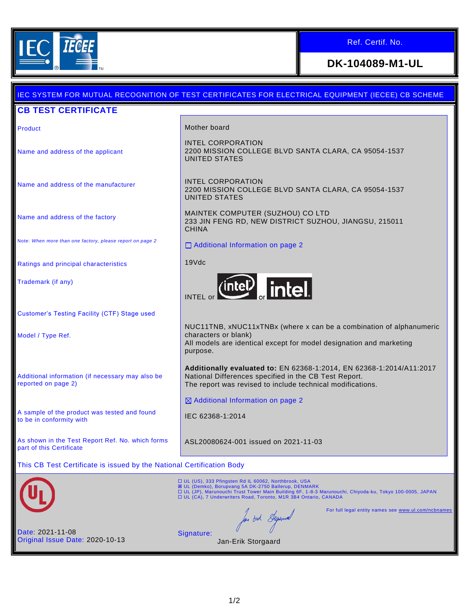

## Ref. Certif. No.

## **DK-104089-M1-UL**

|                                                                              | <u>IEC SYSTEM FOR MUTUAL RECOGNITION OF TEST CERTIFICATES FOR ELECTRICAL EQUIPMENT (IECEE) CB SCHEME</u>                                                                                                                                                                                     |
|------------------------------------------------------------------------------|----------------------------------------------------------------------------------------------------------------------------------------------------------------------------------------------------------------------------------------------------------------------------------------------|
| <b>CB TEST CERTIFICATE</b>                                                   |                                                                                                                                                                                                                                                                                              |
| Product                                                                      | Mother board                                                                                                                                                                                                                                                                                 |
| Name and address of the applicant                                            | <b>INTEL CORPORATION</b><br>2200 MISSION COLLEGE BLVD SANTA CLARA, CA 95054-1537<br>UNITED STATES                                                                                                                                                                                            |
| Name and address of the manufacturer                                         | INTEL CORPORATION<br>2200 MISSION COLLEGE BLVD SANTA CLARA, CA 95054-1537<br><b>UNITED STATES</b>                                                                                                                                                                                            |
| Name and address of the factory                                              | MAINTEK COMPUTER (SUZHOU) CO LTD<br>233 JIN FENG RD, NEW DISTRICT SUZHOU, JIANGSU, 215011<br><b>CHINA</b>                                                                                                                                                                                    |
| Note: When more than one factory, please report on page 2                    | □ Additional Information on page 2                                                                                                                                                                                                                                                           |
| Ratings and principal characteristics                                        | 19Vdc                                                                                                                                                                                                                                                                                        |
| Trademark (if any)                                                           | (intel) intel.<br><b>INTEL</b> or                                                                                                                                                                                                                                                            |
| Customer's Testing Facility (CTF) Stage used                                 |                                                                                                                                                                                                                                                                                              |
| Model / Type Ref.                                                            | NUC11TNB, xNUC11xTNBx (where x can be a combination of alphanumeric<br>characters or blank)<br>All models are identical except for model designation and marketing<br>purpose.                                                                                                               |
| Additional information (if necessary may also be<br>reported on page 2)      | Additionally evaluated to: EN 62368-1:2014, EN 62368-1:2014/A11:2017<br>National Differences specified in the CB Test Report.<br>The report was revised to include technical modifications.                                                                                                  |
|                                                                              | ⊠ Additional Information on page 2                                                                                                                                                                                                                                                           |
| A sample of the product was tested and found<br>to be in conformity with     | IEC 62368-1:2014                                                                                                                                                                                                                                                                             |
| As shown in the Test Report Ref. No. which forms<br>part of this Certificate | ASL20080624-001 issued on 2021-11-03                                                                                                                                                                                                                                                         |
| This CB Test Certificate is issued by the National Certification Body        |                                                                                                                                                                                                                                                                                              |
|                                                                              | □ UL (US), 333 Pfingsten Rd IL 60062, Northbrook, USA<br>図 UL (Demko), Borupvang 5A DK-2750 Ballerup, DENMARK<br>□ UL (JP), Marunouchi Trust Tower Main Building 6F, 1-8-3 Marunouchi, Chiyoda-ku, Tokyo 100-0005, JAPAN<br>□ UL (CA), 7 Underwriters Road, Toronto, M1R 3B4 Ontario, CANADA |
|                                                                              | For full legal entity names see www.ul.com/ncbnames<br>for out Superior                                                                                                                                                                                                                      |
| Date: 2021-11-08<br>Original Issue Date: 2020-10-13                          | Signature:<br>Jan-Erik Storgaard                                                                                                                                                                                                                                                             |